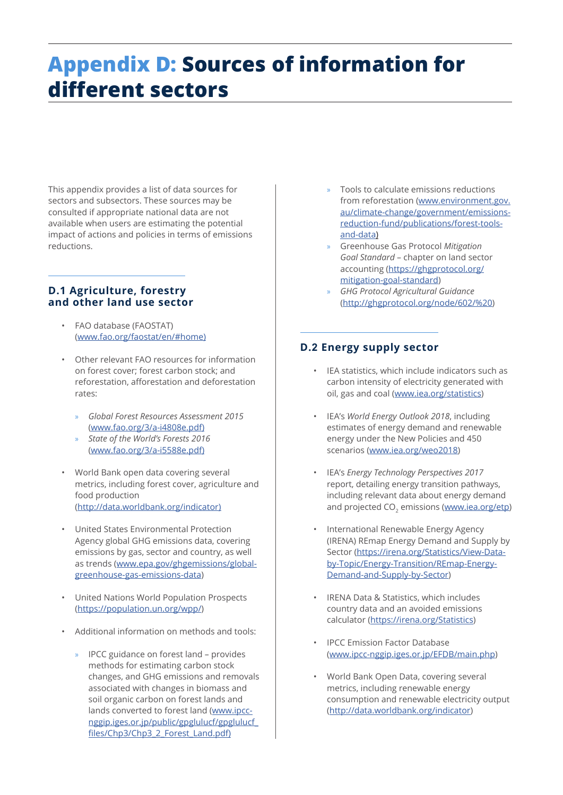# **Appendix D: Sources of information for different sectors**

This appendix provides a list of data sources for sectors and subsectors. These sources may be consulted if appropriate national data are not available when users are estimating the potential impact of actions and policies in terms of emissions reductions.

## **D.1 Agriculture, forestry and other land use sector**

- FAO database (FAOSTAT) [\(www.fao.org/faostat/en/#home](http://www.fao.org/faostat/en/#home))
- Other relevant FAO resources for information on forest cover; forest carbon stock; and reforestation, afforestation and deforestation rates:
	- » *Global Forest Resources Assessment 2015* [\(www.fao.org/3/a-i4808e.pdf\)](http://www.fao.org/3/a-i4808e.pdf)
	- » *State of the World's Forests 2016* [\(www.fao.org/3/a-i5588e.pdf\)](http://www.fao.org/3/a-i5588e.pdf)
- World Bank open data covering several metrics, including forest cover, agriculture and food production [\(http://data.worldbank.org/indicator](http://data.worldbank.org/indicator))
- United States Environmental Protection Agency global GHG emissions data, covering emissions by gas, sector and country, as well as trends [\(www.epa.gov/ghgemissions/global](http://www.epa.gov/ghgemissions/global-greenhouse-gas-emissions-data)[greenhouse-gas-emissions-data\)](http://www.epa.gov/ghgemissions/global-greenhouse-gas-emissions-data)
- United Nations World Population Prospects [\(https://population.un.org/wpp/\)](https://population.un.org/wpp/)
- Additional information on methods and tools:
	- » IPCC guidance on forest land provides methods for estimating carbon stock changes, and GHG emissions and removals associated with changes in biomass and soil organic carbon on forest lands and lands converted to forest land [\(www.ipcc](http://www.ipcc-nggip.iges.or.jp/public/gpglulucf/gpglulucf_files/Chp3/Chp3_2_Forest_Land.pdf)[nggip.iges.or.jp/public/gpglulucf/gpglulucf\\_](http://www.ipcc-nggip.iges.or.jp/public/gpglulucf/gpglulucf_files/Chp3/Chp3_2_Forest_Land.pdf) [files/Chp3/Chp3\\_2\\_Forest\\_Land.pdf](http://www.ipcc-nggip.iges.or.jp/public/gpglulucf/gpglulucf_files/Chp3/Chp3_2_Forest_Land.pdf))
- » Tools to calculate emissions reductions from reforestation ([www.environment.gov.](http://www.environment.gov.au/climate-change/government/emissions-reduction-fund/publications/forest-tools-and-data) [au/climate-change/government/emissions](http://www.environment.gov.au/climate-change/government/emissions-reduction-fund/publications/forest-tools-and-data)[reduction-fund/publications/forest-tools](http://www.environment.gov.au/climate-change/government/emissions-reduction-fund/publications/forest-tools-and-data)[and-data\)](http://www.environment.gov.au/climate-change/government/emissions-reduction-fund/publications/forest-tools-and-data)
- » Greenhouse Gas Protocol *Mitigation Goal Standard* – chapter on land sector accounting ([https://ghgprotocol.org/](https://ghgprotocol.org/mitigation-goal-standard) [mitigation-goal-standard\)](https://ghgprotocol.org/mitigation-goal-standard)
- » *GHG Protocol Agricultural Guidance* (<http://ghgprotocol.org/node/602/%20>)

## **D.2 Energy supply sector**

- IEA statistics, which include indicators such as carbon intensity of electricity generated with oil, gas and coal [\(www.iea.org/statistics](http://www.iea.org/statistics))
- IEA's *World Energy Outlook 2018*, including estimates of energy demand and renewable energy under the New Policies and 450 scenarios ([www.iea.org/weo2018](http://www.iea.org/weo2018))
- IEA's *Energy Technology Perspectives 2017*  report, detailing energy transition pathways, including relevant data about energy demand and projected CO $_{\textrm{\tiny{2}}}$  emissions (<u>www.iea.org/etp</u>)
- International Renewable Energy Agency (IRENA) REmap Energy Demand and Supply by Sector [\(https://irena.org/Statistics/View-Data](https://irena.org/Statistics/View-Data-by-Topic/Energy-Transition/REmap-Energy-Demand-and-Supply-by-Sector)[by-Topic/Energy-Transition/REmap-Energy-](https://irena.org/Statistics/View-Data-by-Topic/Energy-Transition/REmap-Energy-Demand-and-Supply-by-Sector)[Demand-and-Supply-by-Sector](https://irena.org/Statistics/View-Data-by-Topic/Energy-Transition/REmap-Energy-Demand-and-Supply-by-Sector))
- IRENA Data & Statistics, which includes country data and an avoided emissions calculator ([https://irena.org/Statistics\)](https://irena.org/Statistics)
- IPCC Emission Factor Database [\(www.ipcc-nggip.iges.or.jp/EFDB/main.php\)](http://www.ipcc-nggip.iges.or.jp/EFDB/main.php)
- World Bank Open Data, covering several metrics, including renewable energy consumption and renewable electricity output [\(http://data.worldbank.org/indicator\)](http://data.worldbank.org/indicator)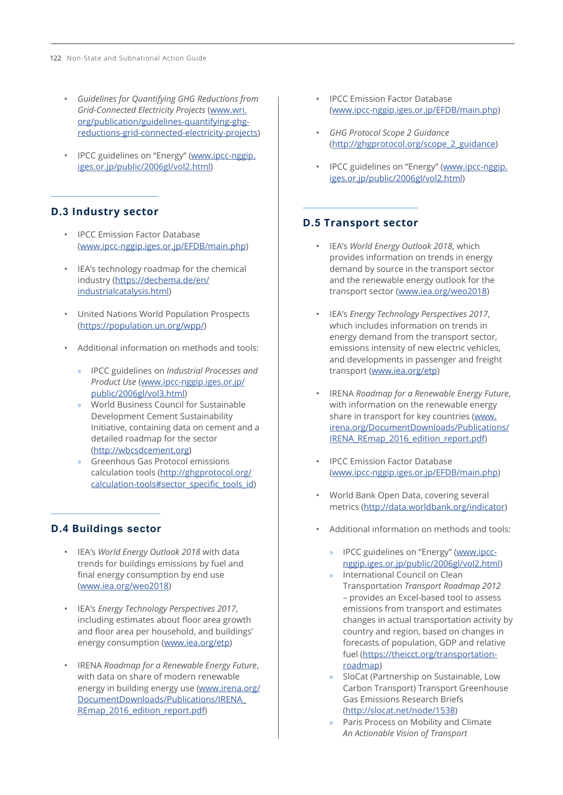- *Guidelines for Quantifying GHG Reductions from Grid-Connected Electricity Projects* [\(www.wri.](http://www.wri.org/publication/guidelines-quantifying-ghg-reductions-grid-connected-electricity-projects) [org/publication/guidelines-quantifying-ghg](http://www.wri.org/publication/guidelines-quantifying-ghg-reductions-grid-connected-electricity-projects)[reductions-grid-connected-electricity-projects\)](http://www.wri.org/publication/guidelines-quantifying-ghg-reductions-grid-connected-electricity-projects)
- IPCC guidelines on "Energy" [\(www.ipcc-nggip.](http://www.ipcc-nggip.iges.or.jp/public/2006gl/vol2.html) [iges.or.jp/public/2006gl/vol2.html](http://www.ipcc-nggip.iges.or.jp/public/2006gl/vol2.html))

### **D.3 Industry sector**

- IPCC Emission Factor Database ([www.ipcc-nggip.iges.or.jp/EFDB/main.php](http://www.ipcc-nggip.iges.or.jp/EFDB/main.php))
- IEA's technology roadmap for the chemical industry ([https://dechema.de/en/](https://dechema.de/en/industrialcatalysis.html) [industrialcatalysis.html\)](https://dechema.de/en/industrialcatalysis.html)
- United Nations World Population Prospects ([https://population.un.org/wpp/\)](https://population.un.org/wpp/)
- Additional information on methods and tools:
	- » IPCC guidelines on *Industrial Processes and Product Use* [\(www.ipcc-nggip.iges.or.jp/](http://www.ipcc-nggip.iges.or.jp/public/2006gl/vol3.html) [public/2006gl/vol3.html](http://www.ipcc-nggip.iges.or.jp/public/2006gl/vol3.html))
	- » World Business Council for Sustainable Development Cement Sustainability Initiative, containing data on cement and a detailed roadmap for the sector [\(http://wbcsdcement.org\)](http://wbcsdcement.org)
	- » Greenhous Gas Protocol emissions calculation tools [\(http://ghgprotocol.org/](http://ghgprotocol.org/calculation-tools#sector_specific_tools_id) [calculation-tools#sector\\_specific\\_tools\\_id](http://ghgprotocol.org/calculation-tools#sector_specific_tools_id))

### **D.4 Buildings sector**

- IEA's *World Energy Outlook 2018* with data trends for buildings emissions by fuel and final energy consumption by end use ([www.iea.org/weo2018](http://www.iea.org/weo2018))
- IEA's *Energy Technology Perspectives 2017*, including estimates about floor area growth and floor area per household, and buildings' energy consumption ([www.iea.org/etp\)](http://www.iea.org/etp)
- IRENA *Roadmap for a Renewable Energy Future*, with data on share of modern renewable energy in building energy use ([www.irena.org/](http://www.irena.org/DocumentDownloads/Publications/IRENA_REmap_2016_edition_report.pdf) [DocumentDownloads/Publications/IRENA\\_](http://www.irena.org/DocumentDownloads/Publications/IRENA_REmap_2016_edition_report.pdf) REmap 2016 edition report.pdf)
- IPCC Emission Factor Database [\(www.ipcc-nggip.iges.or.jp/EFDB/main.php\)](http://www.ipcc-nggip.iges.or.jp/EFDB/main.php)
- *GHG Protocol Scope 2 Guidance* ([http://ghgprotocol.org/scope\\_2\\_guidance](http://ghgprotocol.org/scope_2_guidance))
- IPCC guidelines on "Energy" ([www.ipcc-nggip.](http://www.ipcc-nggip.iges.or.jp/public/2006gl/vol2.html) [iges.or.jp/public/2006gl/vol2.html](http://www.ipcc-nggip.iges.or.jp/public/2006gl/vol2.html))

#### **D.5 Transport sector**

- IEA's *World Energy Outlook 2018*, which provides information on trends in energy demand by source in the transport sector and the renewable energy outlook for the transport sector ([www.iea.org/weo2018](http://www.iea.org/weo2018))
- IEA's *Energy Technology Perspectives 2017*, which includes information on trends in energy demand from the transport sector, emissions intensity of new electric vehicles, and developments in passenger and freight transport [\(www.iea.org/etp](http://www.iea.org/etp))
- IRENA *Roadmap for a Renewable Energy Future*, with information on the renewable energy share in transport for key countries ([www.](http://www.irena.org/DocumentDownloads/Publications/IRENA_REmap_2016_edition_report.pdf) [irena.org/DocumentDownloads/Publications/](http://www.irena.org/DocumentDownloads/Publications/IRENA_REmap_2016_edition_report.pdf) [IRENA\\_REmap\\_2016\\_edition\\_report.pdf](http://www.irena.org/DocumentDownloads/Publications/IRENA_REmap_2016_edition_report.pdf))
- IPCC Emission Factor Database [\(www.ipcc-nggip.iges.or.jp/EFDB/main.php\)](http://www.ipcc-nggip.iges.or.jp/EFDB/main.php)
- World Bank Open Data, covering several metrics ([http://data.worldbank.org/indicator\)](http://data.worldbank.org/indicator)
- Additional information on methods and tools:
	- » IPCC guidelines on "Energy" ([www.ipcc](http://www.ipcc-nggip.iges.or.jp/public/2006gl/vol2.html)[nggip.iges.or.jp/public/2006gl/vol2.html](http://www.ipcc-nggip.iges.or.jp/public/2006gl/vol2.html))
	- » International Council on Clean Transportation *Transport Roadmap 2012* – provides an Excel-based tool to assess emissions from transport and estimates changes in actual transportation activity by country and region, based on changes in forecasts of population, GDP and relative fuel ([https://theicct.org/transportation](https://theicct.org/transportation-roadmap)[roadmap](https://theicct.org/transportation-roadmap))
	- » SloCat (Partnership on Sustainable, Low Carbon Transport) Transport Greenhouse Gas Emissions Research Briefs (<http://slocat.net/node/1538>)
	- » Paris Process on Mobility and Climate *An Actionable Vision of Transport*